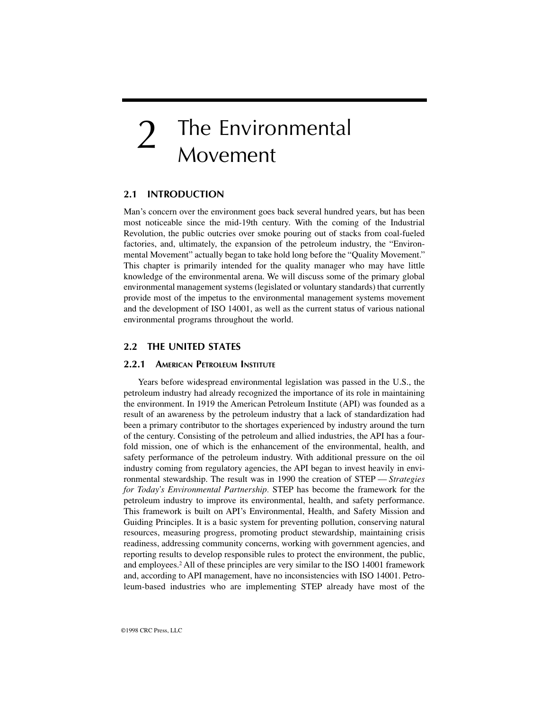# $\overline{\mathcal{L}}$ The Environmental Movement

## **2.1 INTRODUCTION**

Man's concern over the environment goes back several hundred years, but has been most noticeable since the mid-19th century. With the coming of the Industrial Revolution, the public outcries over smoke pouring out of stacks from coal-fueled factories, and, ultimately, the expansion of the petroleum industry, the "Environmental Movement" actually began to take hold long before the "Quality Movement." This chapter is primarily intended for the quality manager who may have little knowledge of the environmental arena. We will discuss some of the primary global environmental management systems (legislated or voluntary standards) that currently provide most of the impetus to the environmental management systems movement and the development of ISO 14001, as well as the current status of various national environmental programs throughout the world.

# **2.2 THE UNITED STATES**

## **2.2.1 AMERICAN PETROLEUM INSTITUTE**

Years before widespread environmental legislation was passed in the U.S., the petroleum industry had already recognized the importance of its role in maintaining the environment. In 1919 the American Petroleum Institute (API) was founded as a result of an awareness by the petroleum industry that a lack of standardization had been a primary contributor to the shortages experienced by industry around the turn of the century. Consisting of the petroleum and allied industries, the API has a fourfold mission, one of which is the enhancement of the environmental, health, and safety performance of the petroleum industry. With additional pressure on the oil industry coming from regulatory agencies, the API began to invest heavily in environmental stewardship. The result was in 1990 the creation of STEP — *Strategies for Today's Environmental Partnership.* STEP has become the framework for the petroleum industry to improve its environmental, health, and safety performance. This framework is built on API's Environmental, Health, and Safety Mission and Guiding Principles. It is a basic system for preventing pollution, conserving natural resources, measuring progress, promoting product stewardship, maintaining crisis readiness, addressing community concerns, working with government agencies, and reporting results to develop responsible rules to protect the environment, the public, and employees.2 All of these principles are very similar to the ISO 14001 framework and, according to API management, have no inconsistencies with ISO 14001. Petroleum-based industries who are implementing STEP already have most of the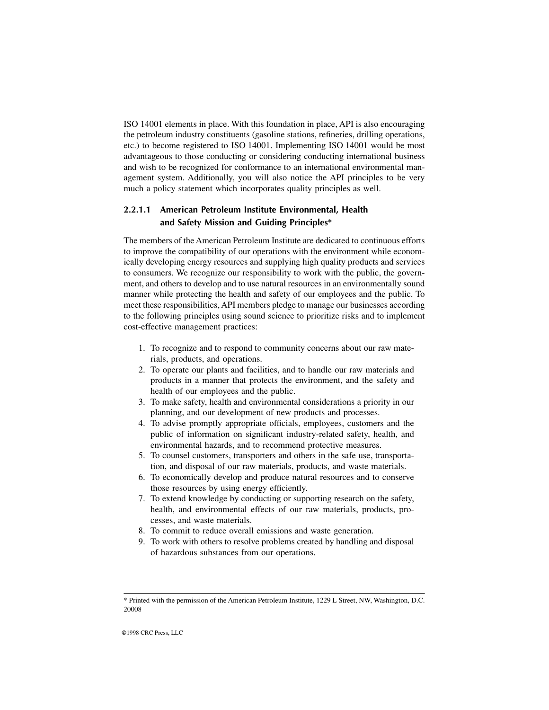ISO 14001 elements in place. With this foundation in place, API is also encouraging the petroleum industry constituents (gasoline stations, refineries, drilling operations, etc.) to become registered to ISO 14001. Implementing ISO 14001 would be most advantageous to those conducting or considering conducting international business and wish to be recognized for conformance to an international environmental management system. Additionally, you will also notice the API principles to be very much a policy statement which incorporates quality principles as well.

# **2.2.1.1 American Petroleum Institute Environmental, Health and Safety Mission and Guiding Principles\***

The members of the American Petroleum Institute are dedicated to continuous efforts to improve the compatibility of our operations with the environment while economically developing energy resources and supplying high quality products and services to consumers. We recognize our responsibility to work with the public, the government, and others to develop and to use natural resources in an environmentally sound manner while protecting the health and safety of our employees and the public. To meet these responsibilities, API members pledge to manage our businesses according to the following principles using sound science to prioritize risks and to implement cost-effective management practices:

- 1. To recognize and to respond to community concerns about our raw materials, products, and operations.
- 2. To operate our plants and facilities, and to handle our raw materials and products in a manner that protects the environment, and the safety and health of our employees and the public.
- 3. To make safety, health and environmental considerations a priority in our planning, and our development of new products and processes.
- 4. To advise promptly appropriate officials, employees, customers and the public of information on significant industry-related safety, health, and environmental hazards, and to recommend protective measures.
- 5. To counsel customers, transporters and others in the safe use, transportation, and disposal of our raw materials, products, and waste materials.
- 6. To economically develop and produce natural resources and to conserve those resources by using energy efficiently.
- 7. To extend knowledge by conducting or supporting research on the safety, health, and environmental effects of our raw materials, products, processes, and waste materials.
- 8. To commit to reduce overall emissions and waste generation.
- 9. To work with others to resolve problems created by handling and disposal of hazardous substances from our operations.

<sup>\*</sup> Printed with the permission of the American Petroleum Institute, 1229 L Street, NW, Washington, D.C. 20008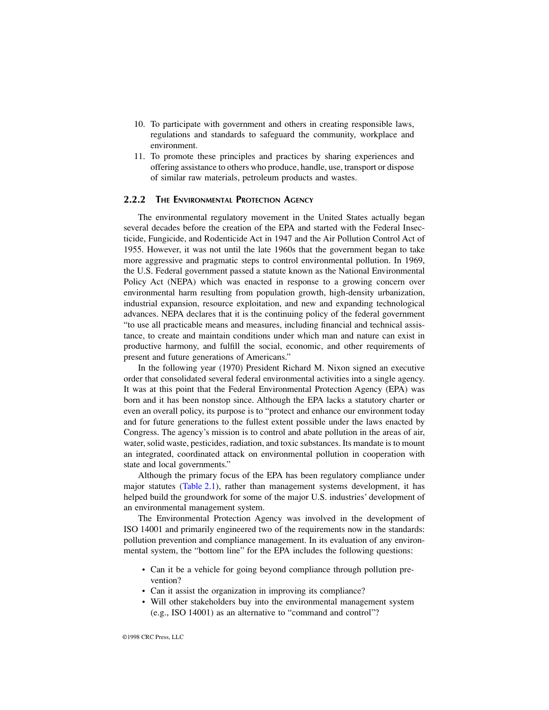- 10. To participate with government and others in creating responsible laws, regulations and standards to safeguard the community, workplace and environment.
- 11. To promote these principles and practices by sharing experiences and offering assistance to others who produce, handle, use, transport or dispose of similar raw materials, petroleum products and wastes.

#### **2.2.2 THE ENVIRONMENTAL PROTECTION AGENCY**

The environmental regulatory movement in the United States actually began several decades before the creation of the EPA and started with the Federal Insecticide, Fungicide, and Rodenticide Act in 1947 and the Air Pollution Control Act of 1955. However, it was not until the late 1960s that the government began to take more aggressive and pragmatic steps to control environmental pollution. In 1969, the U.S. Federal government passed a statute known as the National Environmental Policy Act (NEPA) which was enacted in response to a growing concern over environmental harm resulting from population growth, high-density urbanization, industrial expansion, resource exploitation, and new and expanding technological advances. NEPA declares that it is the continuing policy of the federal government "to use all practicable means and measures, including financial and technical assistance, to create and maintain conditions under which man and nature can exist in productive harmony, and fulfill the social, economic, and other requirements of present and future generations of Americans."

In the following year (1970) President Richard M. Nixon signed an executive order that consolidated several federal environmental activities into a single agency. It was at this point that the Federal Environmental Protection Agency (EPA) was born and it has been nonstop since. Although the EPA lacks a statutory charter or even an overall policy, its purpose is to "protect and enhance our environment today and for future generations to the fullest extent possible under the laws enacted by Congress. The agency's mission is to control and abate pollution in the areas of air, water, solid waste, pesticides, radiation, and toxic substances. Its mandate is to mount an integrated, coordinated attack on environmental pollution in cooperation with state and local governments."

Although the primary focus of the EPA has been regulatory compliance under major statutes [\(Table 2.1\)](#page-3-0), rather than management systems development, it has helped build the groundwork for some of the major U.S. industries' development of an environmental management system.

The Environmental Protection Agency was involved in the development of ISO 14001 and primarily engineered two of the requirements now in the standards: pollution prevention and compliance management. In its evaluation of any environmental system, the "bottom line" for the EPA includes the following questions:

- Can it be a vehicle for going beyond compliance through pollution prevention?
- Can it assist the organization in improving its compliance?
- Will other stakeholders buy into the environmental management system (e.g., ISO 14001) as an alternative to "command and control"?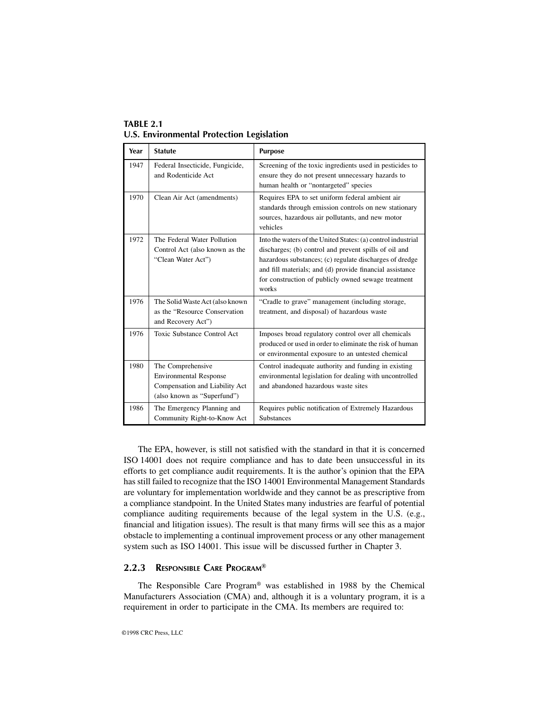| Year | <b>Statute</b>                                                                                                      | <b>Purpose</b>                                                                                                                                                                                                                                                                                               |  |
|------|---------------------------------------------------------------------------------------------------------------------|--------------------------------------------------------------------------------------------------------------------------------------------------------------------------------------------------------------------------------------------------------------------------------------------------------------|--|
| 1947 | Federal Insecticide, Fungicide,<br>and Rodenticide Act                                                              | Screening of the toxic ingredients used in pesticides to<br>ensure they do not present unnecessary hazards to<br>human health or "nontargeted" species                                                                                                                                                       |  |
| 1970 | Clean Air Act (amendments)                                                                                          | Requires EPA to set uniform federal ambient air<br>standards through emission controls on new stationary<br>sources, hazardous air pollutants, and new motor<br>vehicles                                                                                                                                     |  |
| 1972 | The Federal Water Pollution<br>Control Act (also known as the<br>"Clean Water Act")                                 | Into the waters of the United States: (a) control industrial<br>discharges; (b) control and prevent spills of oil and<br>hazardous substances; (c) regulate discharges of dredge<br>and fill materials; and (d) provide financial assistance<br>for construction of publicly owned sewage treatment<br>works |  |
| 1976 | The Solid Waste Act (also known<br>as the "Resource Conservation"<br>and Recovery Act")                             | "Cradle to grave" management (including storage,<br>treatment, and disposal) of hazardous waste                                                                                                                                                                                                              |  |
| 1976 | <b>Toxic Substance Control Act</b>                                                                                  | Imposes broad regulatory control over all chemicals<br>produced or used in order to eliminate the risk of human<br>or environmental exposure to an untested chemical                                                                                                                                         |  |
| 1980 | The Comprehensive<br><b>Environmental Response</b><br>Compensation and Liability Act<br>(also known as "Superfund") | Control inadequate authority and funding in existing<br>environmental legislation for dealing with uncontrolled<br>and abandoned hazardous waste sites                                                                                                                                                       |  |
| 1986 | The Emergency Planning and<br>Community Right-to-Know Act                                                           | Requires public notification of Extremely Hazardous<br>Substances                                                                                                                                                                                                                                            |  |

<span id="page-3-0"></span>**TABLE 2.1 U.S. Environmental Protection Legislation**

The EPA, however, is still not satisfied with the standard in that it is concerned ISO 14001 does not require compliance and has to date been unsuccessful in its efforts to get compliance audit requirements. It is the author's opinion that the EPA has still failed to recognize that the ISO 14001 Environmental Management Standards are voluntary for implementation worldwide and they cannot be as prescriptive from a compliance standpoint. In the United States many industries are fearful of potential compliance auditing requirements because of the legal system in the U.S. (e.g., financial and litigation issues). The result is that many firms will see this as a major obstacle to implementing a continual improvement process or any other management system such as ISO 14001. This issue will be discussed further in Chapter 3.

## **2.2.3 RESPONSIBLE CARE PROGRAM®**

The Responsible Care Program® was established in 1988 by the Chemical Manufacturers Association (CMA) and, although it is a voluntary program, it is a requirement in order to participate in the CMA. Its members are required to: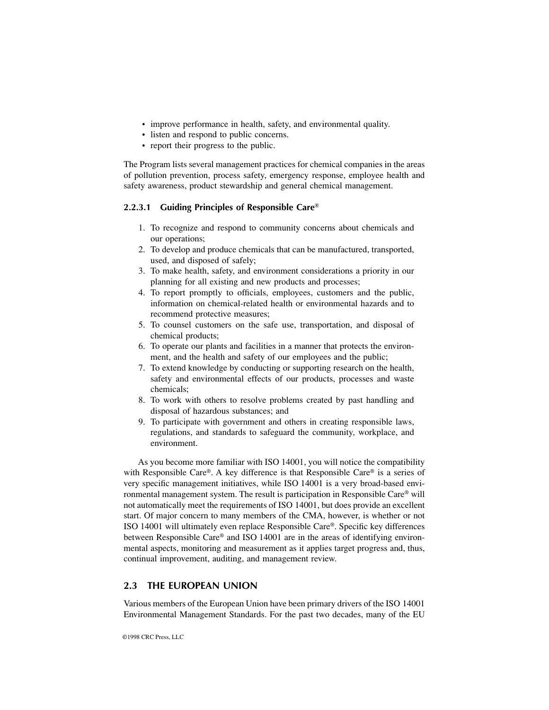- improve performance in health, safety, and environmental quality.
- listen and respond to public concerns.
- report their progress to the public.

The Program lists several management practices for chemical companies in the areas of pollution prevention, process safety, emergency response, employee health and safety awareness, product stewardship and general chemical management.

#### **2.2.3.1 Guiding Principles of Responsible Care®**

- 1. To recognize and respond to community concerns about chemicals and our operations;
- 2. To develop and produce chemicals that can be manufactured, transported, used, and disposed of safely;
- 3. To make health, safety, and environment considerations a priority in our planning for all existing and new products and processes;
- 4. To report promptly to officials, employees, customers and the public, information on chemical-related health or environmental hazards and to recommend protective measures;
- 5. To counsel customers on the safe use, transportation, and disposal of chemical products;
- 6. To operate our plants and facilities in a manner that protects the environment, and the health and safety of our employees and the public;
- 7. To extend knowledge by conducting or supporting research on the health, safety and environmental effects of our products, processes and waste chemicals;
- 8. To work with others to resolve problems created by past handling and disposal of hazardous substances; and
- 9. To participate with government and others in creating responsible laws, regulations, and standards to safeguard the community, workplace, and environment.

As you become more familiar with ISO 14001, you will notice the compatibility with Responsible Care®. A key difference is that Responsible Care® is a series of very specific management initiatives, while ISO 14001 is a very broad-based environmental management system. The result is participation in Responsible Care® will not automatically meet the requirements of ISO 14001, but does provide an excellent start. Of major concern to many members of the CMA, however, is whether or not ISO 14001 will ultimately even replace Responsible Care®. Specific key differences between Responsible Care® and ISO 14001 are in the areas of identifying environmental aspects, monitoring and measurement as it applies target progress and, thus, continual improvement, auditing, and management review.

## **2.3 THE EUROPEAN UNION**

Various members of the European Union have been primary drivers of the ISO 14001 Environmental Management Standards. For the past two decades, many of the EU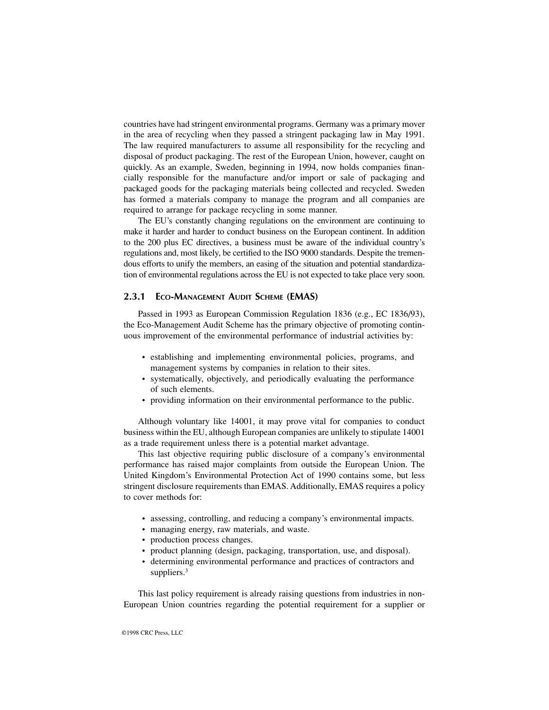countries have had stringent environmental programs. Germany was a primary mover in the area of recycling when they passed a stringent packaging law in May 1991. The law required manufacturers to assume all responsibility for the recycling and disposal of product packaging. The rest of the European Union, however, caught on quickly. As an example, Sweden, beginning in 1994, now holds companies financially responsible for the manufacture and/or import or sale of packaging and packaged goods for the packaging materials being collected and recycled. Sweden has formed a materials company to manage the program and all companies are required to arrange for package recycling in some manner.

The EU's constantly changing regulations on the environment are continuing to make it harder and harder to conduct business on the European continent. In addition to the 200 plus EC directives, a business must be aware of the individual country's regulations and, most likely, be certified to the ISO 9000 standards. Despite the tremendous efforts to unify the members, an easing of the situation and potential standardization of environmental regulations across the EU is not expected to take place very soon.

#### **2.3.1 ECO-MANAGEMENT AUDIT SCHEME (EMAS)**

Passed in 1993 as European Commission Regulation 1836 (e.g., EC 1836/93), the Eco-Management Audit Scheme has the primary objective of promoting continuous improvement of the environmental performance of industrial activities by:

- establishing and implementing environmental policies, programs, and management systems by companies in relation to their sites.
- systematically, objectively, and periodically evaluating the performance of such elements.
- providing information on their environmental performance to the public.

Although voluntary like 14001, it may prove vital for companies to conduct business within the EU, although European companies are unlikely to stipulate 14001 as a trade requirement unless there is a potential market advantage.

This last objective requiring public disclosure of a company's environmental performance has raised major complaints from outside the European Union. The United Kingdom's Environmental Protection Act of 1990 contains some, but less stringent disclosure requirements than EMAS. Additionally, EMAS requires a policy to cover methods for:

- assessing, controlling, and reducing a company's environmental impacts.
- managing energy, raw materials, and waste.
- production process changes.
- product planning (design, packaging, transportation, use, and disposal).
- determining environmental performance and practices of contractors and suppliers.<sup>3</sup>

This last policy requirement is already raising questions from industries in non-European Union countries regarding the potential requirement for a supplier or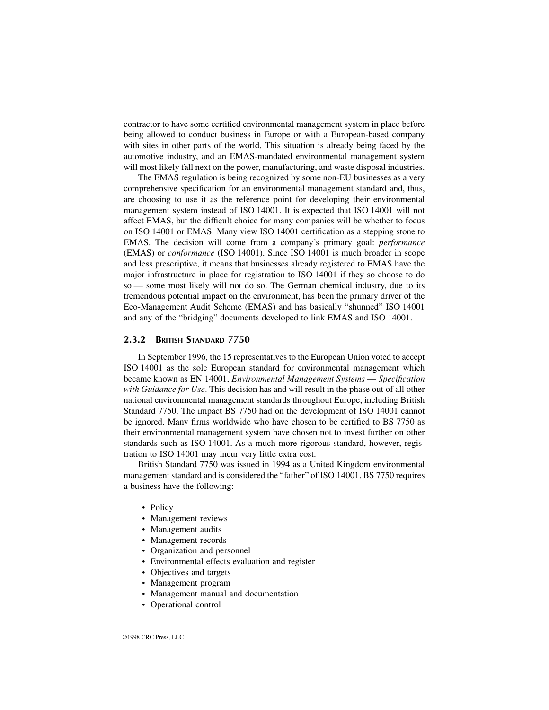contractor to have some certified environmental management system in place before being allowed to conduct business in Europe or with a European-based company with sites in other parts of the world. This situation is already being faced by the automotive industry, and an EMAS-mandated environmental management system will most likely fall next on the power, manufacturing, and waste disposal industries.

The EMAS regulation is being recognized by some non-EU businesses as a very comprehensive specification for an environmental management standard and, thus, are choosing to use it as the reference point for developing their environmental management system instead of ISO 14001. It is expected that ISO 14001 will not affect EMAS, but the difficult choice for many companies will be whether to focus on ISO 14001 or EMAS. Many view ISO 14001 certification as a stepping stone to EMAS. The decision will come from a company's primary goal: *performance* (EMAS) or *conformance* (ISO 14001). Since ISO 14001 is much broader in scope and less prescriptive, it means that businesses already registered to EMAS have the major infrastructure in place for registration to ISO 14001 if they so choose to do so — some most likely will not do so. The German chemical industry, due to its tremendous potential impact on the environment, has been the primary driver of the Eco-Management Audit Scheme (EMAS) and has basically "shunned" ISO 14001 and any of the "bridging" documents developed to link EMAS and ISO 14001.

#### **2.3.2 BRITISH STANDARD 7750**

In September 1996, the 15 representatives to the European Union voted to accept ISO 14001 as the sole European standard for environmental management which became known as EN 14001, *Environmental Management Systems* — *Specification with Guidance for Use.* This decision has and will result in the phase out of all other national environmental management standards throughout Europe, including British Standard 7750. The impact BS 7750 had on the development of ISO 14001 cannot be ignored. Many firms worldwide who have chosen to be certified to BS 7750 as their environmental management system have chosen not to invest further on other standards such as ISO 14001. As a much more rigorous standard, however, registration to ISO 14001 may incur very little extra cost.

British Standard 7750 was issued in 1994 as a United Kingdom environmental management standard and is considered the "father" of ISO 14001. BS 7750 requires a business have the following:

- Policy
- Management reviews
- Management audits
- Management records
- Organization and personnel
- Environmental effects evaluation and register
- Objectives and targets
- Management program
- Management manual and documentation
- Operational control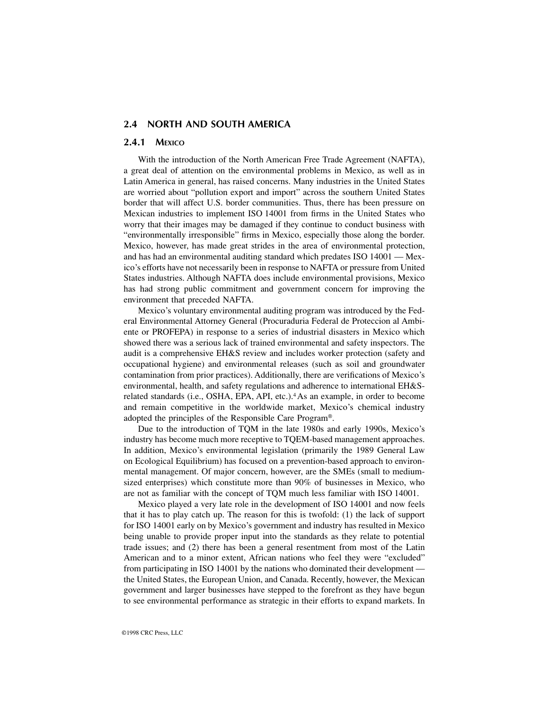#### **2.4 NORTH AND SOUTH AMERICA**

#### **2.4.1 MEXICO**

With the introduction of the North American Free Trade Agreement (NAFTA), a great deal of attention on the environmental problems in Mexico, as well as in Latin America in general, has raised concerns. Many industries in the United States are worried about "pollution export and import" across the southern United States border that will affect U.S. border communities. Thus, there has been pressure on Mexican industries to implement ISO 14001 from firms in the United States who worry that their images may be damaged if they continue to conduct business with "environmentally irresponsible" firms in Mexico, especially those along the border. Mexico, however, has made great strides in the area of environmental protection, and has had an environmental auditing standard which predates ISO 14001 — Mexico's efforts have not necessarily been in response to NAFTA or pressure from United States industries. Although NAFTA does include environmental provisions, Mexico has had strong public commitment and government concern for improving the environment that preceded NAFTA.

Mexico's voluntary environmental auditing program was introduced by the Federal Environmental Attorney General (Procuraduria Federal de Proteccion al Ambiente or PROFEPA) in response to a series of industrial disasters in Mexico which showed there was a serious lack of trained environmental and safety inspectors. The audit is a comprehensive EH&S review and includes worker protection (safety and occupational hygiene) and environmental releases (such as soil and groundwater contamination from prior practices). Additionally, there are verifications of Mexico's environmental, health, and safety regulations and adherence to international EH&Srelated standards (i.e., OSHA, EPA, API, etc.).4 As an example, in order to become and remain competitive in the worldwide market, Mexico's chemical industry adopted the principles of the Responsible Care Program®.

Due to the introduction of TQM in the late 1980s and early 1990s, Mexico's industry has become much more receptive to TQEM-based management approaches. In addition, Mexico's environmental legislation (primarily the 1989 General Law on Ecological Equilibrium) has focused on a prevention-based approach to environmental management. Of major concern, however, are the SMEs (small to mediumsized enterprises) which constitute more than 90% of businesses in Mexico, who are not as familiar with the concept of TQM much less familiar with ISO 14001.

Mexico played a very late role in the development of ISO 14001 and now feels that it has to play catch up. The reason for this is twofold: (1) the lack of support for ISO 14001 early on by Mexico's government and industry has resulted in Mexico being unable to provide proper input into the standards as they relate to potential trade issues; and (2) there has been a general resentment from most of the Latin American and to a minor extent, African nations who feel they were "excluded" from participating in ISO 14001 by the nations who dominated their development the United States, the European Union, and Canada. Recently, however, the Mexican government and larger businesses have stepped to the forefront as they have begun to see environmental performance as strategic in their efforts to expand markets. In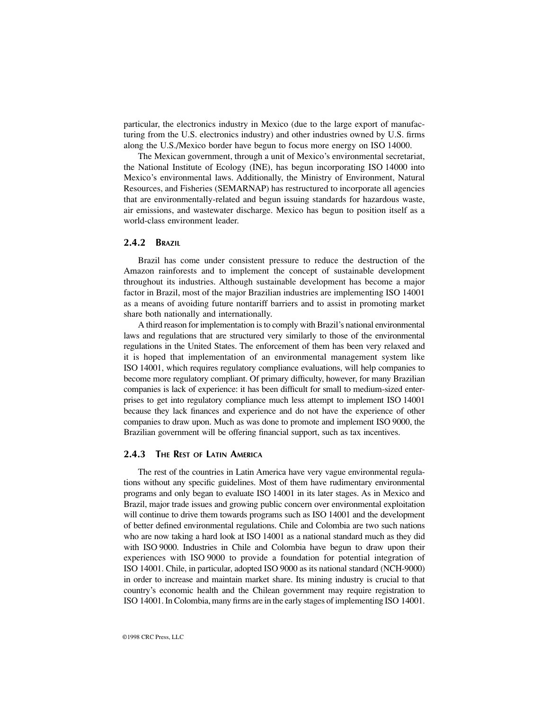particular, the electronics industry in Mexico (due to the large export of manufacturing from the U.S. electronics industry) and other industries owned by U.S. firms along the U.S./Mexico border have begun to focus more energy on ISO 14000.

The Mexican government, through a unit of Mexico's environmental secretariat, the National Institute of Ecology (INE), has begun incorporating ISO 14000 into Mexico's environmental laws. Additionally, the Ministry of Environment, Natural Resources, and Fisheries (SEMARNAP) has restructured to incorporate all agencies that are environmentally-related and begun issuing standards for hazardous waste, air emissions, and wastewater discharge. Mexico has begun to position itself as a world-class environment leader.

#### **2.4.2 BRAZIL**

Brazil has come under consistent pressure to reduce the destruction of the Amazon rainforests and to implement the concept of sustainable development throughout its industries. Although sustainable development has become a major factor in Brazil, most of the major Brazilian industries are implementing ISO 14001 as a means of avoiding future nontariff barriers and to assist in promoting market share both nationally and internationally.

A third reason for implementation is to comply with Brazil's national environmental laws and regulations that are structured very similarly to those of the environmental regulations in the United States. The enforcement of them has been very relaxed and it is hoped that implementation of an environmental management system like ISO 14001, which requires regulatory compliance evaluations, will help companies to become more regulatory compliant. Of primary difficulty, however, for many Brazilian companies is lack of experience: it has been difficult for small to medium-sized enterprises to get into regulatory compliance much less attempt to implement ISO 14001 because they lack finances and experience and do not have the experience of other companies to draw upon. Much as was done to promote and implement ISO 9000, the Brazilian government will be offering financial support, such as tax incentives.

#### **2.4.3 THE REST OF LATIN AMERICA**

The rest of the countries in Latin America have very vague environmental regulations without any specific guidelines. Most of them have rudimentary environmental programs and only began to evaluate ISO 14001 in its later stages. As in Mexico and Brazil, major trade issues and growing public concern over environmental exploitation will continue to drive them towards programs such as ISO 14001 and the development of better defined environmental regulations. Chile and Colombia are two such nations who are now taking a hard look at ISO 14001 as a national standard much as they did with ISO 9000. Industries in Chile and Colombia have begun to draw upon their experiences with ISO 9000 to provide a foundation for potential integration of ISO 14001. Chile, in particular, adopted ISO 9000 as its national standard (NCH-9000) in order to increase and maintain market share. Its mining industry is crucial to that country's economic health and the Chilean government may require registration to ISO 14001. In Colombia, many firms are in the early stages of implementing ISO 14001.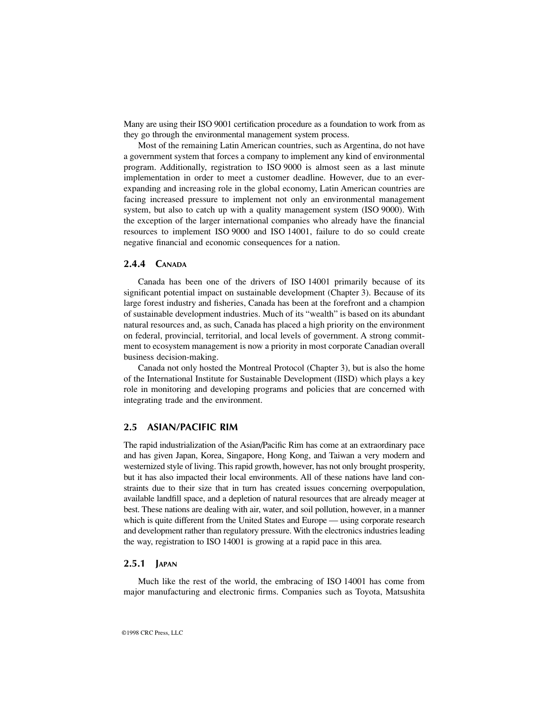Many are using their ISO 9001 certification procedure as a foundation to work from as they go through the environmental management system process.

Most of the remaining Latin American countries, such as Argentina, do not have a government system that forces a company to implement any kind of environmental program. Additionally, registration to ISO 9000 is almost seen as a last minute implementation in order to meet a customer deadline. However, due to an everexpanding and increasing role in the global economy, Latin American countries are facing increased pressure to implement not only an environmental management system, but also to catch up with a quality management system (ISO 9000). With the exception of the larger international companies who already have the financial resources to implement ISO 9000 and ISO 14001, failure to do so could create negative financial and economic consequences for a nation.

#### **2.4.4 CANADA**

Canada has been one of the drivers of ISO 14001 primarily because of its significant potential impact on sustainable development (Chapter 3). Because of its large forest industry and fisheries, Canada has been at the forefront and a champion of sustainable development industries. Much of its "wealth" is based on its abundant natural resources and, as such, Canada has placed a high priority on the environment on federal, provincial, territorial, and local levels of government. A strong commitment to ecosystem management is now a priority in most corporate Canadian overall business decision-making.

Canada not only hosted the Montreal Protocol (Chapter 3), but is also the home of the International Institute for Sustainable Development (IISD) which plays a key role in monitoring and developing programs and policies that are concerned with integrating trade and the environment.

#### **2.5 ASIAN/PACIFIC RIM**

The rapid industrialization of the Asian/Pacific Rim has come at an extraordinary pace and has given Japan, Korea, Singapore, Hong Kong, and Taiwan a very modern and westernized style of living. This rapid growth, however, has not only brought prosperity, but it has also impacted their local environments. All of these nations have land constraints due to their size that in turn has created issues concerning overpopulation, available landfill space, and a depletion of natural resources that are already meager at best. These nations are dealing with air, water, and soil pollution, however, in a manner which is quite different from the United States and Europe — using corporate research and development rather than regulatory pressure. With the electronics industries leading the way, registration to ISO 14001 is growing at a rapid pace in this area.

#### **2.5.1 JAPAN**

Much like the rest of the world, the embracing of ISO 14001 has come from major manufacturing and electronic firms. Companies such as Toyota, Matsushita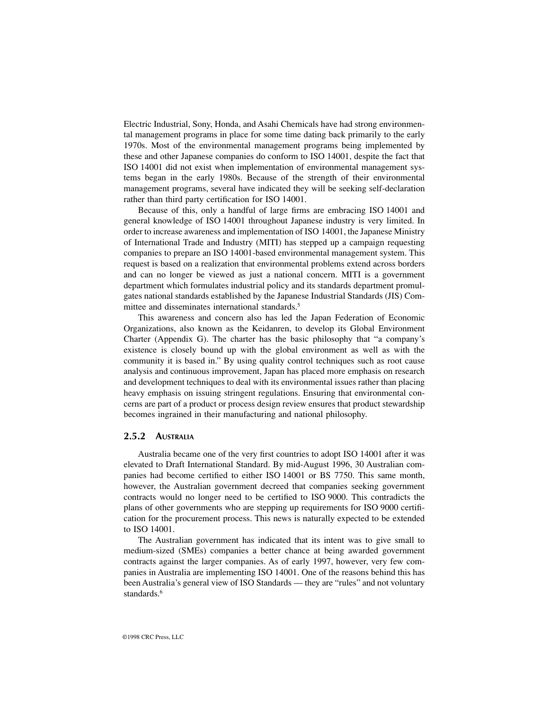Electric Industrial, Sony, Honda, and Asahi Chemicals have had strong environmental management programs in place for some time dating back primarily to the early 1970s. Most of the environmental management programs being implemented by these and other Japanese companies do conform to ISO 14001, despite the fact that ISO 14001 did not exist when implementation of environmental management systems began in the early 1980s. Because of the strength of their environmental management programs, several have indicated they will be seeking self-declaration rather than third party certification for ISO 14001.

Because of this, only a handful of large firms are embracing ISO 14001 and general knowledge of ISO 14001 throughout Japanese industry is very limited. In order to increase awareness and implementation of ISO 14001, the Japanese Ministry of International Trade and Industry (MITI) has stepped up a campaign requesting companies to prepare an ISO 14001-based environmental management system. This request is based on a realization that environmental problems extend across borders and can no longer be viewed as just a national concern. MITI is a government department which formulates industrial policy and its standards department promulgates national standards established by the Japanese Industrial Standards (JIS) Committee and disseminates international standards.<sup>5</sup>

This awareness and concern also has led the Japan Federation of Economic Organizations, also known as the Keidanren, to develop its Global Environment Charter (Appendix G). The charter has the basic philosophy that "a company's existence is closely bound up with the global environment as well as with the community it is based in." By using quality control techniques such as root cause analysis and continuous improvement, Japan has placed more emphasis on research and development techniques to deal with its environmental issues rather than placing heavy emphasis on issuing stringent regulations. Ensuring that environmental concerns are part of a product or process design review ensures that product stewardship becomes ingrained in their manufacturing and national philosophy.

#### **2.5.2 AUSTRALIA**

Australia became one of the very first countries to adopt ISO 14001 after it was elevated to Draft International Standard. By mid-August 1996, 30 Australian companies had become certified to either ISO 14001 or BS 7750. This same month, however, the Australian government decreed that companies seeking government contracts would no longer need to be certified to ISO 9000. This contradicts the plans of other governments who are stepping up requirements for ISO 9000 certification for the procurement process. This news is naturally expected to be extended to ISO 14001.

The Australian government has indicated that its intent was to give small to medium-sized (SMEs) companies a better chance at being awarded government contracts against the larger companies. As of early 1997, however, very few companies in Australia are implementing ISO 14001. One of the reasons behind this has been Australia's general view of ISO Standards — they are "rules" and not voluntary standards<sup>6</sup>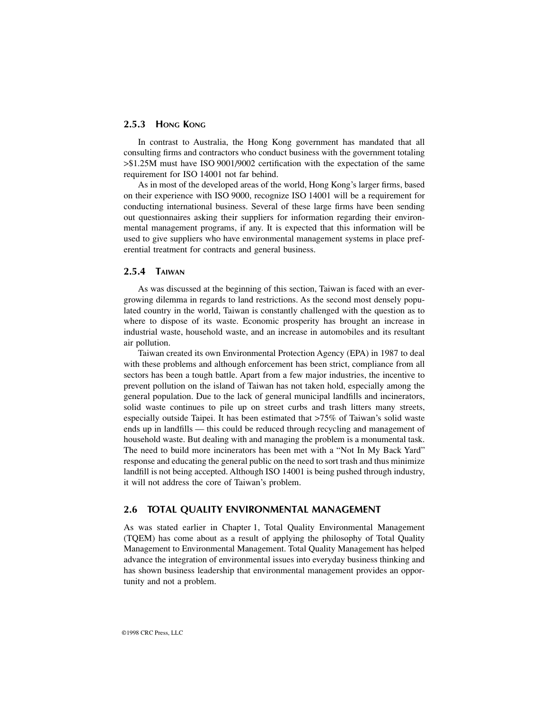#### **2.5.3 HONG KONG**

In contrast to Australia, the Hong Kong government has mandated that all consulting firms and contractors who conduct business with the government totaling >\$1.25M must have ISO 9001/9002 certification with the expectation of the same requirement for ISO 14001 not far behind.

As in most of the developed areas of the world, Hong Kong's larger firms, based on their experience with ISO 9000, recognize ISO 14001 will be a requirement for conducting international business. Several of these large firms have been sending out questionnaires asking their suppliers for information regarding their environmental management programs, if any. It is expected that this information will be used to give suppliers who have environmental management systems in place preferential treatment for contracts and general business.

#### **2.5.4 TAIWAN**

As was discussed at the beginning of this section, Taiwan is faced with an evergrowing dilemma in regards to land restrictions. As the second most densely populated country in the world, Taiwan is constantly challenged with the question as to where to dispose of its waste. Economic prosperity has brought an increase in industrial waste, household waste, and an increase in automobiles and its resultant air pollution.

Taiwan created its own Environmental Protection Agency (EPA) in 1987 to deal with these problems and although enforcement has been strict, compliance from all sectors has been a tough battle. Apart from a few major industries, the incentive to prevent pollution on the island of Taiwan has not taken hold, especially among the general population. Due to the lack of general municipal landfills and incinerators, solid waste continues to pile up on street curbs and trash litters many streets, especially outside Taipei. It has been estimated that >75% of Taiwan's solid waste ends up in landfills — this could be reduced through recycling and management of household waste. But dealing with and managing the problem is a monumental task. The need to build more incinerators has been met with a "Not In My Back Yard" response and educating the general public on the need to sort trash and thus minimize landfill is not being accepted. Although ISO 14001 is being pushed through industry, it will not address the core of Taiwan's problem.

#### **2.6 TOTAL QUALITY ENVIRONMENTAL MANAGEMENT**

As was stated earlier in Chapter 1, Total Quality Environmental Management (TQEM) has come about as a result of applying the philosophy of Total Quality Management to Environmental Management. Total Quality Management has helped advance the integration of environmental issues into everyday business thinking and has shown business leadership that environmental management provides an opportunity and not a problem.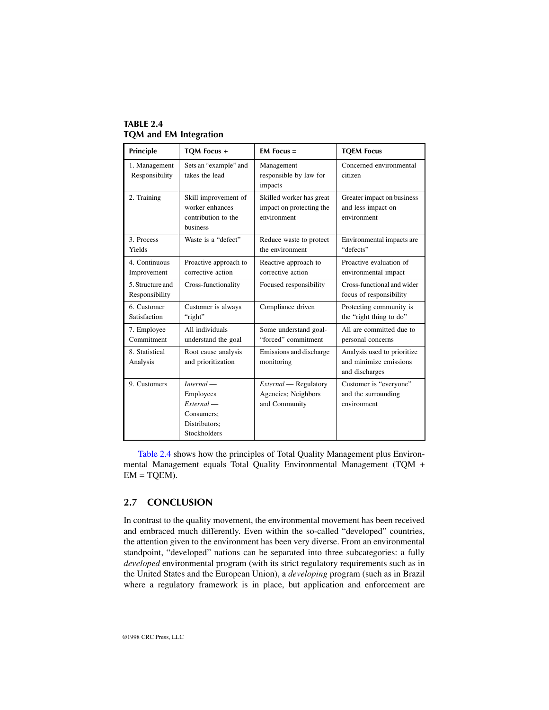| Principle                          | TOM Focus +                                                                              | $EM$ Focus $=$                                                      | <b>TOEM Focus</b>                                                       |
|------------------------------------|------------------------------------------------------------------------------------------|---------------------------------------------------------------------|-------------------------------------------------------------------------|
| 1. Management<br>Responsibility    | Sets an "example" and<br>takes the lead                                                  | Management<br>responsible by law for<br>impacts                     | Concerned environmental<br>citizen                                      |
| 2. Training                        | Skill improvement of<br>worker enhances<br>contribution to the<br>business               | Skilled worker has great<br>impact on protecting the<br>environment | Greater impact on business<br>and less impact on<br>environment         |
| 3. Process<br>Yields               | Waste is a "defect"                                                                      | Reduce waste to protect<br>the environment                          | Environmental impacts are<br>"defects"                                  |
| 4. Continuous<br>Improvement       | Proactive approach to<br>corrective action                                               | Reactive approach to<br>corrective action                           | Proactive evaluation of<br>environmental impact                         |
| 5. Structure and<br>Responsibility | Cross-functionality                                                                      | Focused responsibility                                              | Cross-functional and wider<br>focus of responsibility                   |
| 6. Customer<br>Satisfaction        | Customer is always<br>"right"                                                            | Compliance driven                                                   | Protecting community is<br>the "right thing to do"                      |
| 7. Employee<br>Commitment          | All individuals<br>understand the goal                                                   | Some understand goal-<br>"forced" commitment                        | All are committed due to<br>personal concerns                           |
| 8. Statistical<br>Analysis         | Root cause analysis<br>and prioritization                                                | Emissions and discharge<br>monitoring                               | Analysis used to prioritize<br>and minimize emissions<br>and discharges |
| 9. Customers                       | $Internal -$<br>Employees<br>$External -$<br>Consumers:<br>Distributors;<br>Stockholders | External — Regulatory<br>Agencies; Neighbors<br>and Community       | Customer is "everyone"<br>and the surrounding<br>environment            |

# **TABLE 2.4 TQM and EM Integration**

Table 2.4 shows how the principles of Total Quality Management plus Environmental Management equals Total Quality Environmental Management (TQM +  $EM = TQEM$ ).

## **2.7 CONCLUSION**

In contrast to the quality movement, the environmental movement has been received and embraced much differently. Even within the so-called "developed" countries, the attention given to the environment has been very diverse. From an environmental standpoint, "developed" nations can be separated into three subcategories: a fully *developed* environmental program (with its strict regulatory requirements such as in the United States and the European Union), a *developing* program (such as in Brazil where a regulatory framework is in place, but application and enforcement are